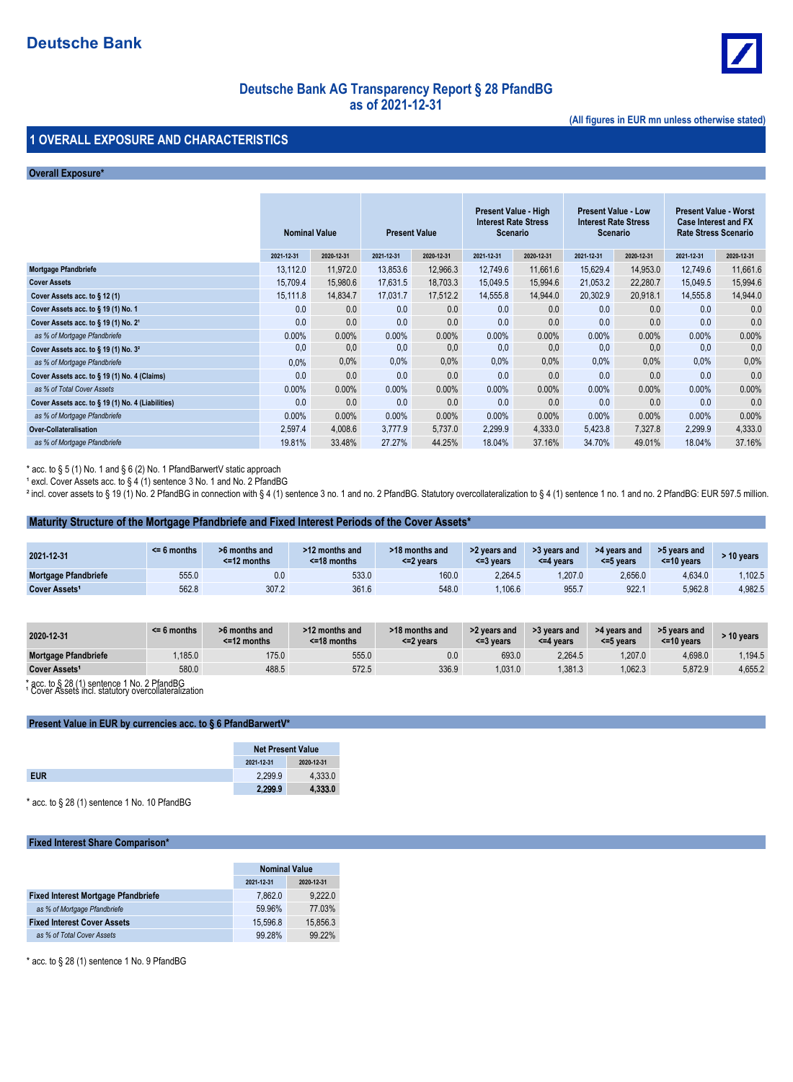

## **Deutsche Bank AG Transparency Report § 28 PfandBG as of 2021-12-31**

**(All figures in EUR mn unless otherwise stated)**

### **1 OVERALL EXPOSURE AND CHARACTERISTICS**

#### **Overall Exposure\***

|                                                     | <b>Nominal Value</b> |            | <b>Present Value</b> |            | Present Value - High<br><b>Interest Rate Stress</b><br>Scenario |            | <b>Present Value - Low</b><br><b>Interest Rate Stress</b><br>Scenario |            | <b>Present Value - Worst</b><br><b>Case Interest and FX</b><br><b>Rate Stress Scenario</b> |            |
|-----------------------------------------------------|----------------------|------------|----------------------|------------|-----------------------------------------------------------------|------------|-----------------------------------------------------------------------|------------|--------------------------------------------------------------------------------------------|------------|
|                                                     | 2021-12-31           | 2020-12-31 | 2021-12-31           | 2020-12-31 | 2021-12-31                                                      | 2020-12-31 | 2021-12-31                                                            | 2020-12-31 | 2021-12-31                                                                                 | 2020-12-31 |
| Mortgage Pfandbriefe                                | 13.112.0             | 11.972.0   | 13,853.6             | 12.966.3   | 12.749.6                                                        | 11,661.6   | 15,629.4                                                              | 14,953.0   | 12.749.6                                                                                   | 11,661.6   |
| <b>Cover Assets</b>                                 | 15,709.4             | 15,980.6   | 17,631.5             | 18.703.3   | 15.049.5                                                        | 15,994.6   | 21,053.2                                                              | 22,280.7   | 15.049.5                                                                                   | 15,994.6   |
| Cover Assets acc. to $\S$ 12 (1)                    | 15,111.8             | 14,834.7   | 17,031.7             | 17,512.2   | 14,555.8                                                        | 14,944.0   | 20,302.9                                                              | 20,918.1   | 14,555.8                                                                                   | 14,944.0   |
| Cover Assets acc. to § 19 (1) No. 1                 | 0.0                  | 0.0        | 0.0                  | 0.0        | 0.0                                                             | 0.0        | 0.0                                                                   | 0.0        | 0.0                                                                                        | 0.0        |
| Cover Assets acc. to $\S$ 19 (1) No. 2 <sup>1</sup> | 0.0                  | 0.0        | 0.0                  | 0.0        | 0.0                                                             | 0.0        | 0.0                                                                   | 0.0        | 0.0                                                                                        | 0.0        |
| as % of Mortgage Pfandbriefe                        | 0.00%                | $0.00\%$   | $0.00\%$             | $0.00\%$   | 0.00%                                                           | 0.00%      | $0.00\%$                                                              | $0.00\%$   | $0.00\%$                                                                                   | 0.00%      |
| Cover Assets acc. to § 19 (1) No. 3 <sup>2</sup>    | 0,0                  | 0,0        | 0,0                  | 0,0        | 0,0                                                             | 0,0        | 0.0                                                                   | 0,0        | 0.0                                                                                        | 0,0        |
| as % of Mortgage Pfandbriefe                        | 0.0%                 | $0.0\%$    | $0.0\%$              | $0.0\%$    | 0.0%                                                            | 0.0%       | 0.0%                                                                  | $0.0\%$    | $0.0\%$                                                                                    | 0.0%       |
| Cover Assets acc. to § 19 (1) No. 4 (Claims)        | 0.0                  | 0.0        | 0.0                  | 0.0        | 0.0                                                             | 0.0        | 0.0                                                                   | 0.0        | 0.0                                                                                        | 0.0        |
| as % of Total Cover Assets                          | $0.00\%$             | $0.00\%$   | $0.00\%$             | $0.00\%$   | 0.00%                                                           | 0.00%      | $0.00\%$                                                              | $0.00\%$   | $0.00\%$                                                                                   | 0.00%      |
| Cover Assets acc. to § 19 (1) No. 4 (Liabilities)   | 0.0                  | 0.0        | 0.0                  | 0.0        | 0.0                                                             | 0.0        | 0.0                                                                   | 0.0        | 0.0                                                                                        | 0.0        |
| as % of Mortgage Pfandbriefe                        | 0.00%                | $0.00\%$   | $0.00\%$             | $0.00\%$   | 0.00%                                                           | 0.00%      | $0.00\%$                                                              | $0.00\%$   | $0.00\%$                                                                                   | 0.00%      |
| <b>Over-Collateralisation</b>                       | 2,597.4              | 4,008.6    | 3.777.9              | 5,737.0    | 2,299.9                                                         | 4,333.0    | 5,423.8                                                               | 7,327.8    | 2,299.9                                                                                    | 4,333.0    |
| as % of Mortgage Pfandbriefe                        | 19.81%               | 33.48%     | 27.27%               | 44.25%     | 18.04%                                                          | 37.16%     | 34.70%                                                                | 49.01%     | 18.04%                                                                                     | 37.16%     |

\* acc. to § 5 (1) No. 1 and § 6 (2) No. 1 PfandBarwertV static approach

 $^1$  excl. Cover Assets acc. to § 4 (1) sentence 3 No. 1 and No. 2 PfandBG

 $^2$  incl. cover assets to § 19 (1) No. 2 PfandBG in connection with § 4 (1) sentence 3 no. 1 and no. 2 PfandBG. Statutory overcollateralization to § 4 (1) sentence 1 no. 1 and no. 2 PfandBG: EUR 597.5 million.

#### **Maturity Structure of the Mortgage Pfandbriefe and Fixed Interest Periods of the Cover Assets\***

| 2021-12-31                | $<$ 6 months | >6 months and<br>$\leq$ 12 months | >12 months and<br>$<$ =18 months | >18 months and<br>$<$ =2 vears | >2 years and<br>$<=$ 3 vears | >3 years and<br>$\leq$ 4 vears | >4 years and<br>$<=5$ vears | >5 years and<br>$<$ =10 vears | $\cdot$ 10 vears |
|---------------------------|--------------|-----------------------------------|----------------------------------|--------------------------------|------------------------------|--------------------------------|-----------------------------|-------------------------------|------------------|
| Mortgage Pfandbriefe      | 555.0        | 0.0                               | 533.0                            | 160.0                          | 2.264.5                      | 1.207.0                        | 2,656.0                     | 4.634.0                       | .102.5           |
| Cover Assets <sup>1</sup> | 562.8        | 307.2                             | 361.6                            | 548.0                          | .106.6                       | 955.7                          | 922.1                       | 5,962.8                       | 4,982.5          |

| 2020-12-31                  | $\leq$ 6 months | >6 months and<br>$<$ =12 months | >12 months and<br>$<$ =18 months | >18 months and<br><=2 vears | >2 years and<br><=3 years | >3 years and<br><=4 years | >4 years and<br><=5 years | >5 years and<br>$<$ =10 years | > 10 years |
|-----------------------------|-----------------|---------------------------------|----------------------------------|-----------------------------|---------------------------|---------------------------|---------------------------|-------------------------------|------------|
| <b>Mortgage Pfandbriefe</b> | .185.0          | 175.0                           | 555.0                            | 0.0                         | 693.0                     | 2.264.5                   | .207.0                    | 4.698.0                       | .194.5     |
| Cover Assets <sup>1</sup>   | 580.0           | 488.5                           | 572.5                            | 336.9                       | 1.031.0                   | 1.381.3                   | ,062.3                    | 5.872.9                       | 4,655.2    |

\* acc. to § 28 (1) sentence 1 No. 2 PfandBG<br>' Cover Assets incl. statutory overcollateralization

#### **Present Value in EUR by currencies acc. to § 6 PfandBarwertV\***

| <b>Net Present Value</b> |            |  |
|--------------------------|------------|--|
| 2021-12-31               | 2020-12-31 |  |
| 2.299.9                  | 4.333.0    |  |
| 2,299.9                  | 4,333.0    |  |

\* acc. to § 28 (1) sentence 1 No. 10 PfandBG

#### **Fixed Interest Share Comparison\***

|                                            | <b>Nominal Value</b>     |          |  |  |
|--------------------------------------------|--------------------------|----------|--|--|
|                                            | 2021-12-31<br>2020-12-31 |          |  |  |
| <b>Fixed Interest Mortgage Pfandbriefe</b> | 7.862.0                  | 9.222.0  |  |  |
| as % of Mortgage Pfandbriefe               | 59.96%                   | 77.03%   |  |  |
| <b>Fixed Interest Cover Assets</b>         | 15.596.8                 | 15,856.3 |  |  |
| as % of Total Cover Assets                 | 99.28%                   | 99 22%   |  |  |

\* acc. to § 28 (1) sentence 1 No. 9 PfandBG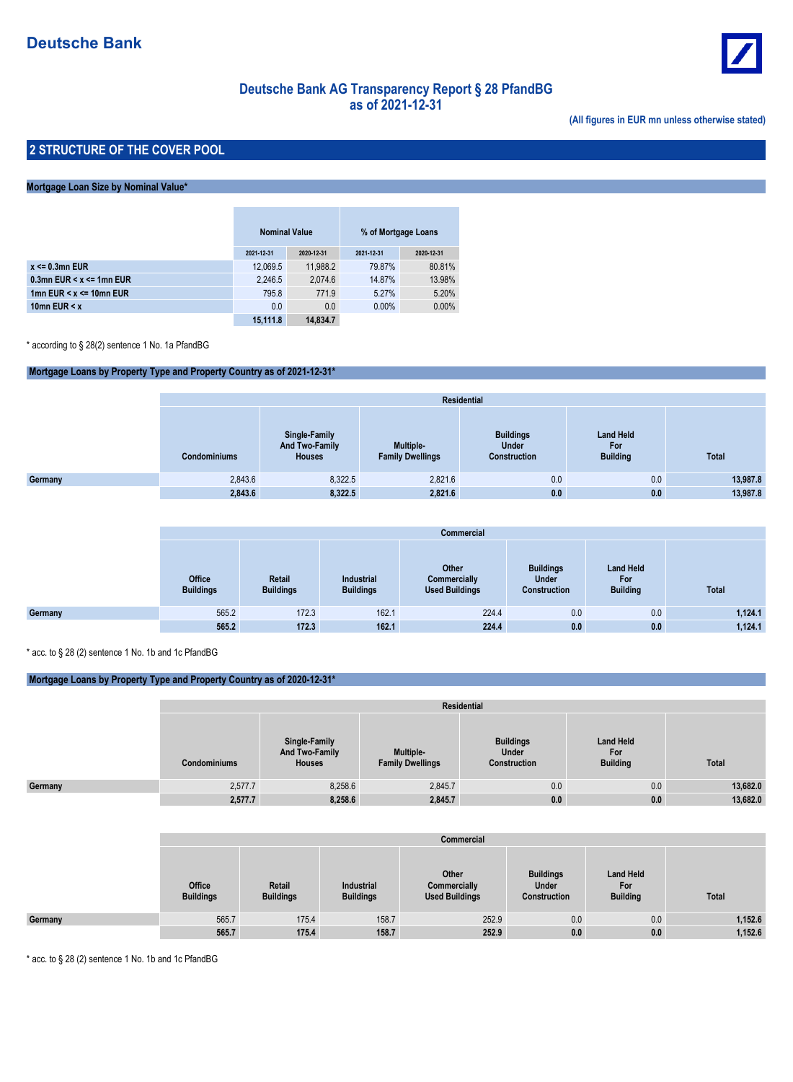

# **Deutsche Bank AG Transparency Report § 28 PfandBG as of 2021-12-31**

**(All figures in EUR mn unless otherwise stated)**

### **2 STRUCTURE OF THE COVER POOL**

#### **Mortgage Loan Size by Nominal Value\***

|                                  | <b>Nominal Value</b> |            | % of Mortgage Loans |            |
|----------------------------------|----------------------|------------|---------------------|------------|
|                                  | 2021-12-31           | 2020-12-31 | 2021-12-31          | 2020-12-31 |
| $x \le 0.3$ mn EUR               | 12,069.5             | 11.988.2   | 79.87%              | 80.81%     |
| 0.3mn EUR $\leq x \leq 1$ mn EUR | 2,246.5              | 2.074.6    | 14.87%              | 13.98%     |
| 1mn EUR $\leq x \leq 10$ mn EUR  | 795.8                | 771.9      | 5.27%               | 5.20%      |
| 10mn EUR $\leq x$                | 0.0                  | 0.0        | $0.00\%$            | 0.00%      |
|                                  | 15,111.8             | 14,834.7   |                     |            |

\* according to § 28(2) sentence 1 No. 1a PfandBG

#### **Mortgage Loans by Property Type and Property Country as of 2021-12-31\***

|         |                     | <b>Residential</b>                               |                                             |                                                         |                                            |              |  |  |  |  |  |  |
|---------|---------------------|--------------------------------------------------|---------------------------------------------|---------------------------------------------------------|--------------------------------------------|--------------|--|--|--|--|--|--|
|         | <b>Condominiums</b> | Single-Family<br>And Two-Family<br><b>Houses</b> | <b>Multiple-</b><br><b>Family Dwellings</b> | <b>Buildings</b><br><b>Under</b><br><b>Construction</b> | <b>Land Held</b><br>For<br><b>Building</b> | <b>Total</b> |  |  |  |  |  |  |
| Germany | 2,843.6             | 8,322.5                                          | 2,821.6                                     | 0.0                                                     | 0.0                                        | 13,987.8     |  |  |  |  |  |  |
|         | 2,843.6             | 8,322.5                                          | 2,821.6                                     | 0.0                                                     | 0.0                                        | 13,987.8     |  |  |  |  |  |  |

|         |                                   | <b>Commercial</b>          |                                       |                                                |                                                  |                                            |              |  |  |  |  |  |
|---------|-----------------------------------|----------------------------|---------------------------------------|------------------------------------------------|--------------------------------------------------|--------------------------------------------|--------------|--|--|--|--|--|
|         | <b>Office</b><br><b>Buildings</b> | Retail<br><b>Buildings</b> | <b>Industrial</b><br><b>Buildings</b> | Other<br>Commercially<br><b>Used Buildings</b> | <b>Buildings</b><br><b>Under</b><br>Construction | <b>Land Held</b><br>For<br><b>Building</b> | <b>Total</b> |  |  |  |  |  |
| Germany | 565.2                             | 172.3                      | 162.1                                 | 224.4                                          | 0.0                                              | 0.0                                        | 1,124.1      |  |  |  |  |  |
|         | 565.2                             | 172.3                      | 162.1                                 | 224.4                                          | 0.0                                              | 0.0                                        | 1,124.1      |  |  |  |  |  |

\* acc. to § 28 (2) sentence 1 No. 1b and 1c PfandBG

#### **Mortgage Loans by Property Type and Property Country as of 2020-12-31\***

|         |                     | Residential                                      |                                             |                                           |                                            |          |  |  |  |  |  |
|---------|---------------------|--------------------------------------------------|---------------------------------------------|-------------------------------------------|--------------------------------------------|----------|--|--|--|--|--|
|         | <b>Condominiums</b> | Single-Family<br>And Two-Family<br><b>Houses</b> | <b>Multiple-</b><br><b>Family Dwellings</b> | <b>Buildings</b><br>Under<br>Construction | <b>Land Held</b><br>For<br><b>Building</b> | Total    |  |  |  |  |  |
| Germany | 2,577.7             | 8,258.6                                          | 2,845.7                                     | 0.0                                       | 0.0                                        | 13,682.0 |  |  |  |  |  |
|         | 2,577.7             | 8,258.6                                          | 2,845.7                                     | 0.0                                       | 0.0                                        | 13,682.0 |  |  |  |  |  |

|         |                            | Commercial                 |                                |                                                |                                                  |                                            |         |  |  |  |  |  |
|---------|----------------------------|----------------------------|--------------------------------|------------------------------------------------|--------------------------------------------------|--------------------------------------------|---------|--|--|--|--|--|
|         | Office<br><b>Buildings</b> | Retail<br><b>Buildings</b> | Industrial<br><b>Buildings</b> | Other<br>Commercially<br><b>Used Buildings</b> | <b>Buildings</b><br><b>Under</b><br>Construction | <b>Land Held</b><br>For<br><b>Building</b> | Total   |  |  |  |  |  |
| Germany | 565.7                      | 175.4                      | 158.7                          | 252.9                                          | 0.0                                              | 0.0                                        | 1,152.6 |  |  |  |  |  |
|         | 565.7                      | 175.4                      | 158.7                          | 252.9                                          | 0.0                                              | 0.0                                        | 1,152.6 |  |  |  |  |  |

\* acc. to § 28 (2) sentence 1 No. 1b and 1c PfandBG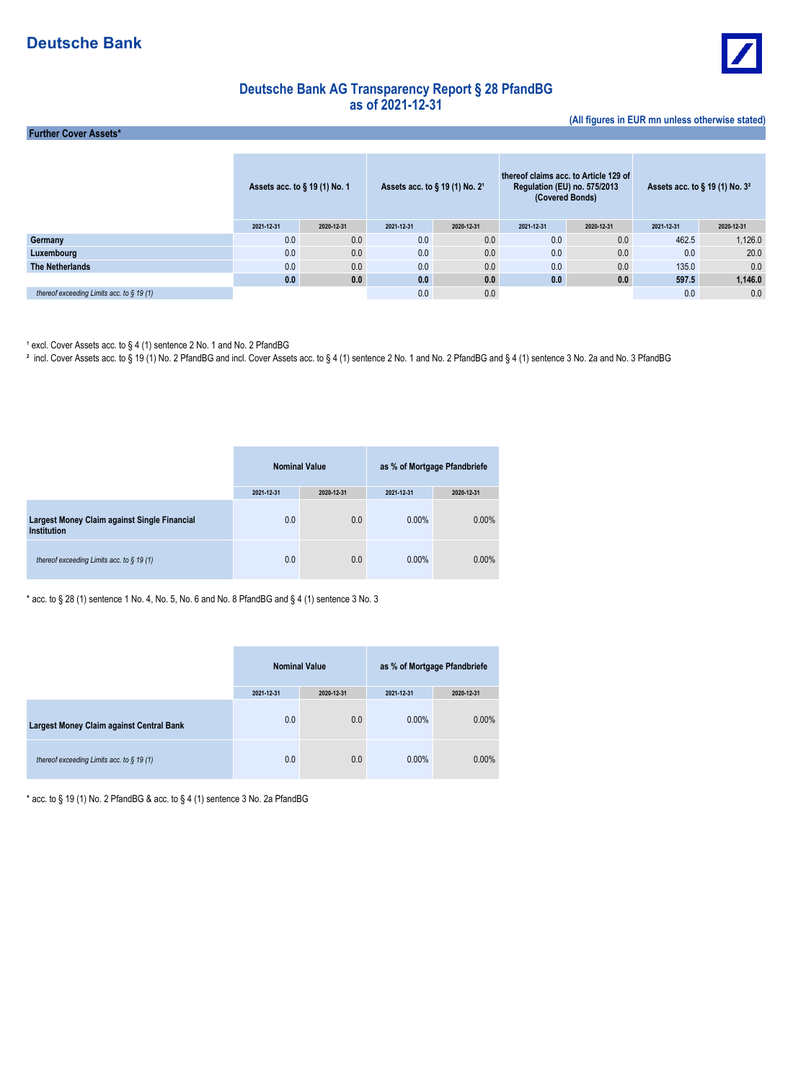

**(All figures in EUR mn unless otherwise stated)**

## **Deutsche Bank AG Transparency Report § 28 PfandBG as of 2021-12-31**

 **Further Cover Assets\***

|                                              | Assets acc. to § 19 (1) No. 1 |            | Assets acc. to $\S$ 19 (1) No. 2 <sup>1</sup> |            | thereof claims acc. to Article 129 of<br><b>Regulation (EU) no. 575/2013</b><br>(Covered Bonds) |            | Assets acc. to $\S$ 19 (1) No. $32$ |            |
|----------------------------------------------|-------------------------------|------------|-----------------------------------------------|------------|-------------------------------------------------------------------------------------------------|------------|-------------------------------------|------------|
|                                              | 2021-12-31                    | 2020-12-31 | 2021-12-31                                    | 2020-12-31 | 2021-12-31                                                                                      | 2020-12-31 | 2021-12-31                          | 2020-12-31 |
| Germany                                      | 0.0                           | 0.0        | 0.0                                           | 0.0        | 0.0                                                                                             | 0.0        | 462.5                               | 1,126.0    |
| Luxembourg                                   | 0.0                           | 0.0        | 0.0                                           | 0.0        | 0.0                                                                                             | 0.0        | 0.0                                 | 20.0       |
| The Netherlands                              | 0.0                           | 0.0        | 0.0                                           | 0.0        | 0.0                                                                                             | 0.0        | 135.0                               | 0.0        |
|                                              | 0.0                           | 0.0        | 0.0                                           | 0.0        | 0.0                                                                                             | 0.0        | 597.5                               | 1,146.0    |
| thereof exceeding Limits acc. to $\S$ 19 (1) |                               |            | 0.0                                           | 0.0        |                                                                                                 |            | 0.0                                 | 0.0        |

<sup>1</sup> excl. Cover Assets acc. to § 4 (1) sentence 2 No. 1 and No. 2 PfandBG

² incl. Cover Assets acc. to § 19 (1) No. 2 PfandBG and incl. Cover Assets acc. to § 4 (1) sentence 2 No. 1 and No. 2 PfandBG and § 4 (1) sentence 3 No. 2a and No. 3 PfandBG

|                                                             | <b>Nominal Value</b> |            | as % of Mortgage Pfandbriefe |            |  |
|-------------------------------------------------------------|----------------------|------------|------------------------------|------------|--|
|                                                             | 2021-12-31           | 2020-12-31 | 2021-12-31                   | 2020-12-31 |  |
| Largest Money Claim against Single Financial<br>Institution | 0.0                  | 0.0        | $0.00\%$                     | $0.00\%$   |  |
| thereof exceeding Limits acc. to $\S$ 19 (1)                | 0.0                  | 0.0        | $0.00\%$                     | $0.00\%$   |  |

\* acc. to § 28 (1) sentence 1 No. 4, No. 5, No. 6 and No. 8 PfandBG and § 4 (1) sentence 3 No. 3

|                                              | <b>Nominal Value</b> |            | as % of Mortgage Pfandbriefe |            |
|----------------------------------------------|----------------------|------------|------------------------------|------------|
|                                              | 2021-12-31           | 2020-12-31 | 2021-12-31                   | 2020-12-31 |
| Largest Money Claim against Central Bank     | 0.0                  | 0.0        | 0.00%                        | $0.00\%$   |
| thereof exceeding Limits acc. to $\S$ 19 (1) | 0.0                  | 0.0        | $0.00\%$                     | $0.00\%$   |

\* acc. to § 19 (1) No. 2 PfandBG & acc. to § 4 (1) sentence 3 No. 2a PfandBG